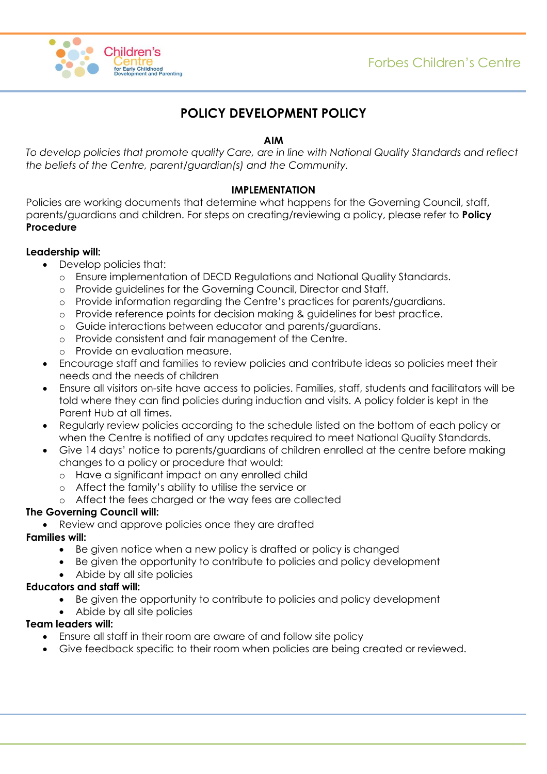

# **POLICY DEVELOPMENT POLICY**

### **AIM**

*To develop policies that promote quality Care, are in line with National Quality Standards and reflect the beliefs of the Centre, parent/guardian(s) and the Community.*

#### **IMPLEMENTATION**

Policies are working documents that determine what happens for the Governing Council, staff, parents/guardians and children. For steps on creating/reviewing a policy, please refer to **Policy Procedure**

### **Leadership will:**

- Develop policies that:
	- o Ensure implementation of DECD Regulations and National Quality Standards.
	- o Provide guidelines for the Governing Council, Director and Staff.
	- o Provide information regarding the Centre's practices for parents/guardians.
	- o Provide reference points for decision making & guidelines for best practice.
	- o Guide interactions between educator and parents/guardians.
	- o Provide consistent and fair management of the Centre.
	- o Provide an evaluation measure.
- Encourage staff and families to review policies and contribute ideas so policies meet their needs and the needs of children
- Ensure all visitors on-site have access to policies. Families, staff, students and facilitators will be told where they can find policies during induction and visits. A policy folder is kept in the Parent Hub at all times.
- Regularly review policies according to the schedule listed on the bottom of each policy or when the Centre is notified of any updates required to meet National Quality Standards.
- Give 14 days' notice to parents/guardians of children enrolled at the centre before making changes to a policy or procedure that would:
	- o Have a significant impact on any enrolled child
	- o Affect the family's ability to utilise the service or
	- o Affect the fees charged or the way fees are collected

## **The Governing Council will:**

Review and approve policies once they are drafted

## **Families will:**

- Be given notice when a new policy is drafted or policy is changed
- Be given the opportunity to contribute to policies and policy development
- Abide by all site policies

## **Educators and staff will:**

- Be given the opportunity to contribute to policies and policy development
- Abide by all site policies

# **Team leaders will:**

- Ensure all staff in their room are aware of and follow site policy
- Give feedback specific to their room when policies are being created or reviewed.